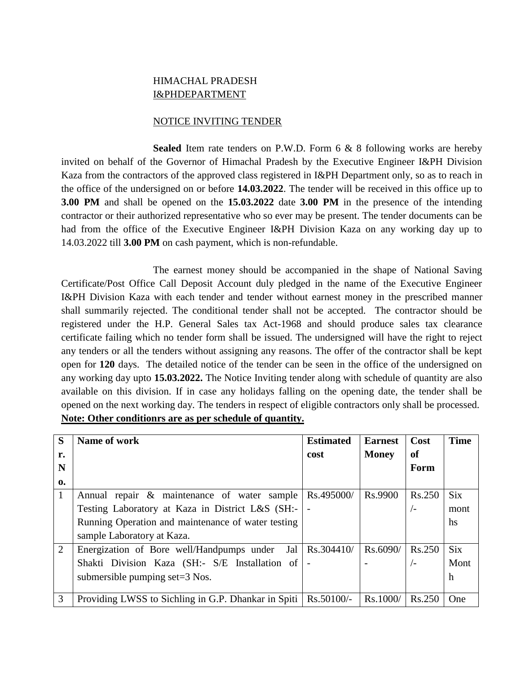## HIMACHAL PRADESH I&PHDEPARTMENT

## NOTICE INVITING TENDER

**Sealed** Item rate tenders on P.W.D. Form 6 & 8 following works are hereby invited on behalf of the Governor of Himachal Pradesh by the Executive Engineer I&PH Division Kaza from the contractors of the approved class registered in I&PH Department only, so as to reach in the office of the undersigned on or before **14.03.2022**. The tender will be received in this office up to **3.00 PM** and shall be opened on the **15.03.2022** date **3.00 PM** in the presence of the intending contractor or their authorized representative who so ever may be present. The tender documents can be had from the office of the Executive Engineer I&PH Division Kaza on any working day up to 14.03.2022 till **3.00 PM** on cash payment, which is non-refundable.

The earnest money should be accompanied in the shape of National Saving Certificate/Post Office Call Deposit Account duly pledged in the name of the Executive Engineer I&PH Division Kaza with each tender and tender without earnest money in the prescribed manner shall summarily rejected. The conditional tender shall not be accepted. The contractor should be registered under the H.P. General Sales tax Act-1968 and should produce sales tax clearance certificate failing which no tender form shall be issued. The undersigned will have the right to reject any tenders or all the tenders without assigning any reasons. The offer of the contractor shall be kept open for **120** days. The detailed notice of the tender can be seen in the office of the undersigned on any working day upto **15.03.2022.** The Notice Inviting tender along with schedule of quantity are also available on this division. If in case any holidays falling on the opening date, the tender shall be opened on the next working day. The tenders in respect of eligible contractors only shall be processed. **Note: Other conditionrs are as per schedule of quantity.**

| S              | Name of work                                        | <b>Estimated</b> | <b>Earnest</b> | Cost   | <b>Time</b> |
|----------------|-----------------------------------------------------|------------------|----------------|--------|-------------|
| r.             |                                                     | cost             | <b>Money</b>   | of     |             |
| N              |                                                     |                  |                | Form   |             |
| $\mathbf{0}$   |                                                     |                  |                |        |             |
| 1              | Annual repair & maintenance of water sample         | Rs.495000/       | Rs.9900        | Rs.250 | <b>Six</b>  |
|                | Testing Laboratory at Kaza in District L&S (SH:-    |                  |                | $/ -$  | mont        |
|                | Running Operation and maintenance of water testing  |                  |                |        | hs          |
|                | sample Laboratory at Kaza.                          |                  |                |        |             |
| $\overline{2}$ | Jal<br>Energization of Bore well/Handpumps under    | Rs.304410/       | Rs.6090/       | Rs.250 | <b>Six</b>  |
|                | Shakti Division Kaza (SH:- S/E Installation of      |                  |                | / –    | Mont        |
|                | submersible pumping set= $3$ Nos.                   |                  |                |        | h           |
|                |                                                     |                  |                |        |             |
| 3              | Providing LWSS to Sichling in G.P. Dhankar in Spiti | Rs.50100/-       | Rs.1000/       | Rs.250 | <b>One</b>  |